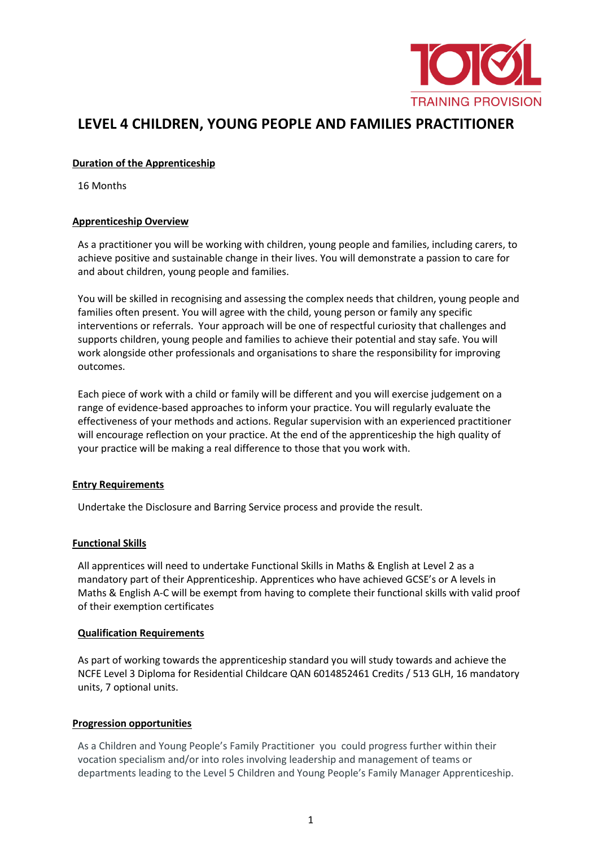

# **LEVEL 4 CHILDREN, YOUNG PEOPLE AND FAMILIES PRACTITIONER**

## **Duration of the Apprenticeship**

16 Months

# **Apprenticeship Overview**

As a practitioner you will be working with children, young people and families, including carers, to achieve positive and sustainable change in their lives. You will demonstrate a passion to care for and about children, young people and families.

You will be skilled in recognising and assessing the complex needs that children, young people and families often present. You will agree with the child, young person or family any specific interventions or referrals. Your approach will be one of respectful curiosity that challenges and supports children, young people and families to achieve their potential and stay safe. You will work alongside other professionals and organisations to share the responsibility for improving outcomes.

Each piece of work with a child or family will be different and you will exercise judgement on a range of evidence-based approaches to inform your practice. You will regularly evaluate the effectiveness of your methods and actions. Regular supervision with an experienced practitioner will encourage reflection on your practice. At the end of the apprenticeship the high quality of your practice will be making a real difference to those that you work with.

## **Entry Requirements**

Undertake the Disclosure and Barring Service process and provide the result.

## **Functional Skills**

All apprentices will need to undertake Functional Skills in Maths & English at Level 2 as a mandatory part of their Apprenticeship. Apprentices who have achieved GCSE's or A levels in Maths & English A-C will be exempt from having to complete their functional skills with valid proof of their exemption certificates

## **Qualification Requirements**

As part of working towards the apprenticeship standard you will study towards and achieve the NCFE Level 3 Diploma for Residential Childcare QAN 6014852461 Credits / 513 GLH, 16 mandatory units, 7 optional units.

## **Progression opportunities**

As a Children and Young People's Family Practitioner you could progress further within their vocation specialism and/or into roles involving leadership and management of teams or departments leading to the Level 5 Children and Young People's Family Manager Apprenticeship.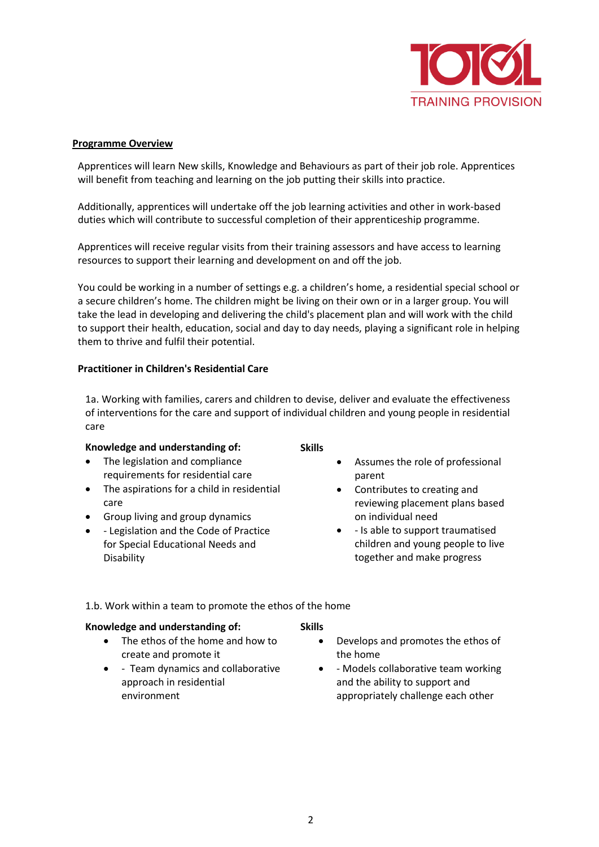

## **Programme Overview**

Apprentices will learn New skills, Knowledge and Behaviours as part of their job role. Apprentices will benefit from teaching and learning on the job putting their skills into practice.

Additionally, apprentices will undertake off the job learning activities and other in work-based duties which will contribute to successful completion of their apprenticeship programme.

Apprentices will receive regular visits from their training assessors and have access to learning resources to support their learning and development on and off the job.

You could be working in a number of settings e.g. a children's home, a residential special school or a secure children's home. The children might be living on their own or in a larger group. You will take the lead in developing and delivering the child's placement plan and will work with the child to support their health, education, social and day to day needs, playing a significant role in helping them to thrive and fulfil their potential.

## **Practitioner in Children's Residential Care**

1a. Working with families, carers and children to devise, deliver and evaluate the effectiveness of interventions for the care and support of individual children and young people in residential care

#### **Knowledge and understanding of:**

- The legislation and compliance requirements for residential care
- The aspirations for a child in residential care
- Group living and group dynamics
- - Legislation and the Code of Practice for Special Educational Needs and **Disability**

**Skills**

- Assumes the role of professional parent
- Contributes to creating and reviewing placement plans based on individual need
- - Is able to support traumatised children and young people to live together and make progress
- 1.b. Work within a team to promote the ethos of the home

#### **Knowledge and understanding of:**

- The ethos of the home and how to create and promote it
- - Team dynamics and collaborative approach in residential environment

## **Skills**

- Develops and promotes the ethos of the home
- - Models collaborative team working and the ability to support and appropriately challenge each other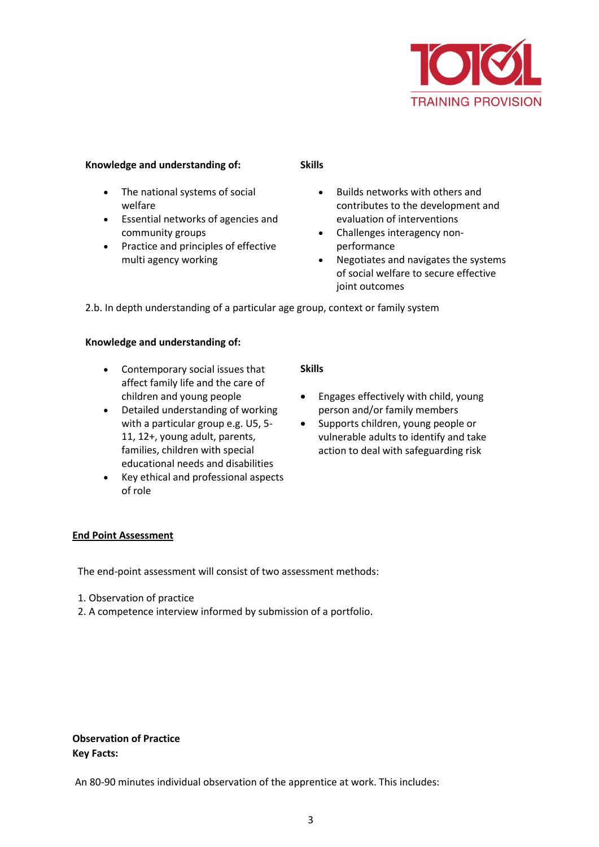

## **Knowledge and understanding of:**

- The national systems of social welfare
- Essential networks of agencies and community groups
- Practice and principles of effective multi agency working

#### **Skills**

- Builds networks with others and contributes to the development and evaluation of interventions
- Challenges interagency nonperformance
- Negotiates and navigates the systems of social welfare to secure effective joint outcomes

2.b. In depth understanding of a particular age group, context or family system

# **Knowledge and understanding of:**

- Contemporary social issues that affect family life and the care of children and young people
- Detailed understanding of working with a particular group e.g. U5, 5- 11, 12+, young adult, parents, families, children with special educational needs and disabilities
- Key ethical and professional aspects of role

## **Skills**

- Engages effectively with child, young person and/or family members
- Supports children, young people or vulnerable adults to identify and take action to deal with safeguarding risk

## **End Point Assessment**

The end-point assessment will consist of two assessment methods:

- 1. Observation of practice
- 2. A competence interview informed by submission of a portfolio.

# **Observation of Practice Key Facts:**

An 80-90 minutes individual observation of the apprentice at work. This includes: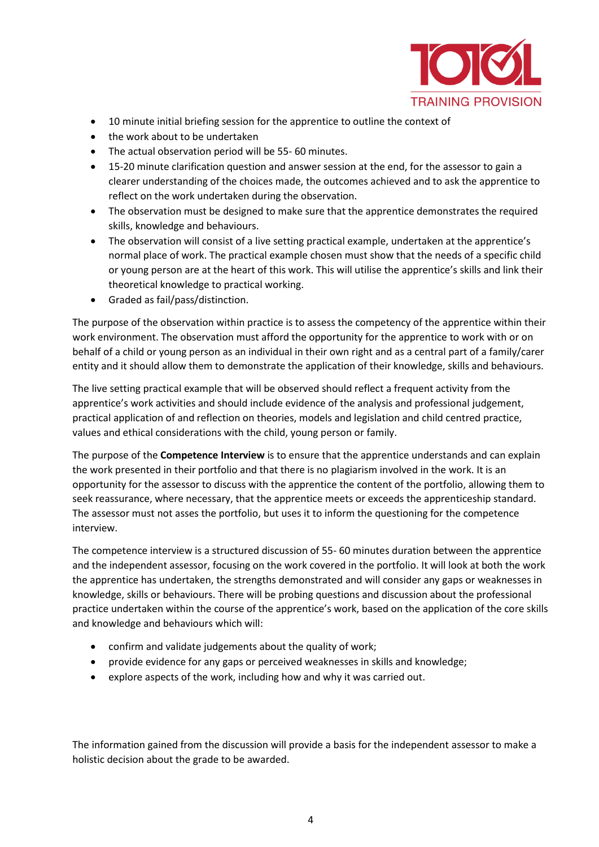

- 10 minute initial briefing session for the apprentice to outline the context of
- the work about to be undertaken
- The actual observation period will be 55- 60 minutes.
- 15-20 minute clarification question and answer session at the end, for the assessor to gain a clearer understanding of the choices made, the outcomes achieved and to ask the apprentice to reflect on the work undertaken during the observation.
- The observation must be designed to make sure that the apprentice demonstrates the required skills, knowledge and behaviours.
- The observation will consist of a live setting practical example, undertaken at the apprentice's normal place of work. The practical example chosen must show that the needs of a specific child or young person are at the heart of this work. This will utilise the apprentice's skills and link their theoretical knowledge to practical working.
- Graded as fail/pass/distinction.

The purpose of the observation within practice is to assess the competency of the apprentice within their work environment. The observation must afford the opportunity for the apprentice to work with or on behalf of a child or young person as an individual in their own right and as a central part of a family/carer entity and it should allow them to demonstrate the application of their knowledge, skills and behaviours.

The live setting practical example that will be observed should reflect a frequent activity from the apprentice's work activities and should include evidence of the analysis and professional judgement, practical application of and reflection on theories, models and legislation and child centred practice, values and ethical considerations with the child, young person or family.

The purpose of the **Competence Interview** is to ensure that the apprentice understands and can explain the work presented in their portfolio and that there is no plagiarism involved in the work. It is an opportunity for the assessor to discuss with the apprentice the content of the portfolio, allowing them to seek reassurance, where necessary, that the apprentice meets or exceeds the apprenticeship standard. The assessor must not asses the portfolio, but uses it to inform the questioning for the competence interview.

The competence interview is a structured discussion of 55- 60 minutes duration between the apprentice and the independent assessor, focusing on the work covered in the portfolio. It will look at both the work the apprentice has undertaken, the strengths demonstrated and will consider any gaps or weaknesses in knowledge, skills or behaviours. There will be probing questions and discussion about the professional practice undertaken within the course of the apprentice's work, based on the application of the core skills and knowledge and behaviours which will:

- confirm and validate judgements about the quality of work;
- provide evidence for any gaps or perceived weaknesses in skills and knowledge;
- explore aspects of the work, including how and why it was carried out.

The information gained from the discussion will provide a basis for the independent assessor to make a holistic decision about the grade to be awarded.